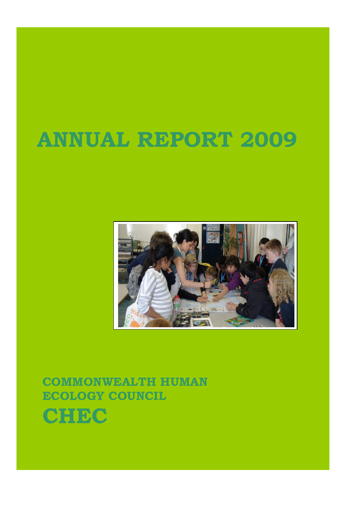# **ANNUAL REPORT 2009**



**COMMONWEALTH HUMAN ECOLOGY COUNCIL CHEC**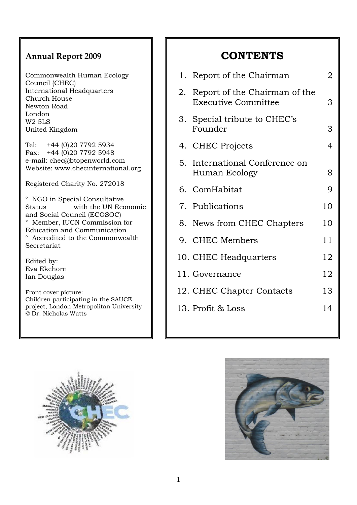## **Annual Report 2009**

Commonwealth Human Ecology Council (CHEC) International Headquarters Church House Newton Road London W2 5LS United Kingdom

Tel: +44 (0)20 7792 5934 Fax: +44 (0)20 7792 5948 e-mail: chec@btopenworld.com Website: www.checinternational.org

Registered Charity No. 272018

° NGO in Special Consultative Status with the UN Economic and Social Council (ECOSOC) ° Member, IUCN Commission for Education and Communication ° Accredited to the Commonwealth Secretariat

Edited by: Eva Ekehorn Ian Douglas

Front cover picture: Children participating in the SAUCE project, London Metropolitan University © Dr. Nicholas Watts

# **CONTENTS**

| 1. Report of the Chairman                                      | 2  |
|----------------------------------------------------------------|----|
| 2. Report of the Chairman of the<br><b>Executive Committee</b> | 3  |
| 3. Special tribute to CHEC's<br>Founder                        | 3  |
| 4. CHEC Projects                                               | 4  |
| 5. International Conference on<br>Human Ecology                | 8  |
| 6. ComHabitat                                                  | 9  |
| 7. Publications                                                | 10 |
| 8. News from CHEC Chapters                                     | 10 |
| 9. CHEC Members                                                | 11 |
| 10. CHEC Headquarters                                          | 12 |
| 11. Governance                                                 | 12 |
| 12. CHEC Chapter Contacts                                      | 13 |
| 13. Profit & Loss                                              | 14 |
|                                                                |    |



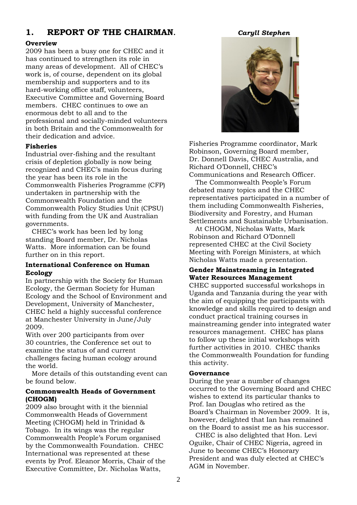## **1. REPORT OF THE CHAIRMAN.** *Caryll Stephen*

## **Overview**

2009 has been a busy one for CHEC and it has continued to strengthen its role in many areas of development. All of CHEC"s work is, of course, dependent on its global membership and supporters and to its hard-working office staff, volunteers, Executive Committee and Governing Board members. CHEC continues to owe an enormous debt to all and to the professional and socially-minded volunteers in both Britain and the Commonwealth for their dedication and advice.

## **Fisheries**

Industrial over-fishing and the resultant crisis of depletion globally is now being recognized and CHEC"s main focus during the year has been its role in the Commonwealth Fisheries Programme (CFP) undertaken in partnership with the Commonwealth Foundation and the Commonwealth Policy Studies Unit (CPSU) with funding from the UK and Australian governments.

 CHEC"s work has been led by long standing Board member, Dr. Nicholas Watts. More information can be found further on in this report.

## **International Conference on Human Ecology**

In partnership with the Society for Human Ecology, the German Society for Human Ecology and the School of Environment and Development, University of Manchester, CHEC held a highly successful conference at Manchester University in June/July 2009.

With over 200 participants from over 30 countries, the Conference set out to examine the status of and current challenges facing human ecology around the world.

 More details of this outstanding event can be found below.

## **Commonwealth Heads of Government (CHOGM)**

2009 also brought with it the biennial Commonwealth Heads of Government Meeting (CHOGM) held in Trinidad & Tobago. In its wings was the regular Commonwealth People"s Forum organised by the Commonwealth Foundation. CHEC International was represented at these events by Prof. Eleanor Morris, Chair of the Executive Committee, Dr. Nicholas Watts,



Fisheries Programme coordinator, Mark Robinson, Governing Board member, Dr. Donnell Davis, CHEC Australia, and Richard O"Donnell, CHEC"s Communications and Research Officer.

 The Commonwealth People"s Forum debated many topics and the CHEC representatives participated in a number of them including Commonwealth Fisheries, Biodiversity and Forestry, and Human Settlements and Sustainable Urbanisation.

 At CHOGM, Nicholas Watts, Mark Robinson and Richard O"Donnell represented CHEC at the Civil Society Meeting with Foreign Ministers, at which Nicholas Watts made a presentation.

## **Gender Mainstreaming in Integrated Water Resources Management**

CHEC supported successful workshops in Uganda and Tanzania during the year with the aim of equipping the participants with knowledge and skills required to design and conduct practical training courses in mainstreaming gender into integrated water resources management. CHEC has plans to follow up these initial workshops with further activities in 2010. CHEC thanks the Commonwealth Foundation for funding this activity.

## **Governance**

During the year a number of changes occurred to the Governing Board and CHEC wishes to extend its particular thanks to Prof. Ian Douglas who retired as the Board"s Chairman in November 2009. It is, however, delighted that Ian has remained on the Board to assist me as his successor.

 CHEC is also delighted that Hon. Levi Oguike, Chair of CHEC Nigeria, agreed in June to become CHEC"s Honorary President and was duly elected at CHEC"s AGM in November.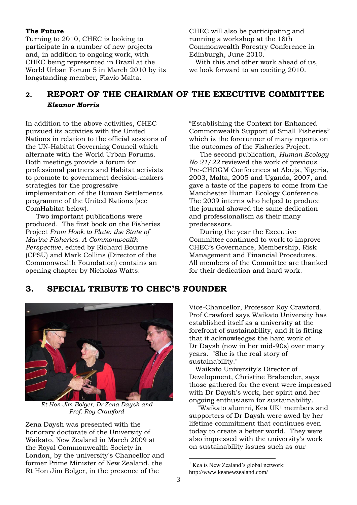## **The Future**

Turning to 2010, CHEC is looking to participate in a number of new projects and, in addition to ongoing work, with CHEC being represented in Brazil at the World Urban Forum 5 in March 2010 by its longstanding member, Flavio Malta.

CHEC will also be participating and running a workshop at the 18th Commonwealth Forestry Conference in Edinburgh, June 2010.

 With this and other work ahead of us, we look forward to an exciting 2010.

## **2. REPORT OF THE CHAIRMAN OF THE EXECUTIVE COMMITTEE** *Eleanor Morris*

In addition to the above activities, CHEC pursued its activities with the United Nations in relation to the official sessions of the UN-Habitat Governing Council which alternate with the World Urban Forums. Both meetings provide a forum for professional partners and Habitat activists to promote to government decision-makers strategies for the progressive implementation of the Human Settlements programme of the United Nations (see ComHabitat below).

Two important publications were produced. The first book on the Fisheries Project *From Hook to Plate: the State of Marine Fisheries. A Commonwealth Perspective*, edited by Richard Bourne (CPSU) and Mark Collins (Director of the Commonwealth Foundation) contains an opening chapter by Nicholas Watts:

"Establishing the Context for Enhanced Commonwealth Support of Small Fisheries" which is the forerunner of many reports on the outcomes of the Fisheries Project.

The second publication, *Human Ecology No 21/22* reviewed the work of previous Pre-CHOGM Conferences at Abuja, Nigeria, 2003, Malta, 2005 and Uganda, 2007, and gave a taste of the papers to come from the Manchester Human Ecology Conference. The 2009 interns who helped to produce the journal showed the same dedication and professionalism as their many predecessors.

During the year the Executive Committee continued to work to improve CHEC"s Governance, Membership, Risk Management and Financial Procedures. All members of the Committee are thanked for their dedication and hard work.

## **3. SPECIAL TRIBUTE TO CHEC'S FOUNDER**



*Rt Hon Jim Bolger, Dr Zena Daysh and Prof. Roy Crawford*

Zena Daysh was presented with the honorary doctorate of the University of Waikato, New Zealand in March 2009 at the Royal Commonwealth Society in London, by the university's Chancellor and former Prime Minister of New Zealand, the Rt Hon Jim Bolger, in the presence of the

Vice-Chancellor, Professor Roy Crawford. Prof Crawford says Waikato University has established itself as a university at the forefront of sustainability, and it is fitting that it acknowledges the hard work of Dr Daysh (now in her mid-90s) over many years. "She is the real story of sustainability."

 Waikato University's Director of Development, Christine Brabender, says those gathered for the event were impressed with Dr Daysh's work, her spirit and her ongoing enthusiasm for sustainability.

 "Waikato alumni, Kea UK<sup>1</sup> members and supporters of Dr Daysh were awed by her lifetime commitment that continues even today to create a better world. They were also impressed with the university's work on sustainability issues such as our

1

 $<sup>1</sup>$  Kea is New Zealand's global network:</sup>

http://www.keanewzealand.com/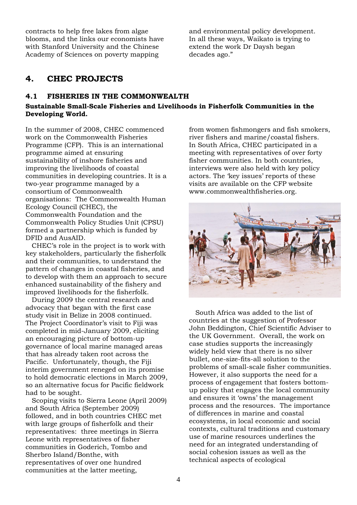contracts to help free lakes from algae blooms, and the links our economists have with Stanford University and the Chinese Academy of Sciences on poverty mapping

and environmental policy development. In all these ways, Waikato is trying to extend the work Dr Daysh began decades ago."

## **4. CHEC PROJECTS**

## **4.1 FISHERIES IN THE COMMONWEALTH**

## **Sustainable Small-Scale Fisheries and Livelihoods in Fisherfolk Communities in the Developing World.**

In the summer of 2008, CHEC commenced work on the Commonwealth Fisheries Programme (CFP). This is an international programme aimed at ensuring sustainability of inshore fisheries and improving the livelihoods of coastal communities in developing countries. It is a two-year programme managed by a consortium of Commonwealth organisations: The Commonwealth Human Ecology Council (CHEC), the Commonwealth Foundation and the Commonwealth Policy Studies Unit (CPSU) formed a partnership which is funded by DFID and AusAID.

 CHEC"s role in the project is to work with key stakeholders, particularly the fisherfolk and their communities, to understand the pattern of changes in coastal fisheries, and to develop with them an approach to secure enhanced sustainability of the fishery and improved livelihoods for the fisherfolk.

 During 2009 the central research and advocacy that began with the first case study visit in Belize in 2008 continued. The Project Coordinator's visit to Fiji was completed in mid-January 2009, eliciting an encouraging picture of bottom-up governance of local marine managed areas that has already taken root across the Pacific. Unfortunately, though, the Fiji interim government reneged on its promise to hold democratic elections in March 2009, so an alternative focus for Pacific fieldwork had to be sought.

 Scoping visits to Sierra Leone (April 2009) and South Africa (September 2009) followed, and in both countries CHEC met with large groups of fisherfolk and their representatives: three meetings in Sierra Leone with representatives of fisher communities in Goderich, Tombo and Sherbro Island/Bonthe, with representatives of over one hundred communities at the latter meeting,

from women fishmongers and fish smokers, river fishers and marine/coastal fishers. In South Africa, CHEC participated in a meeting with representatives of over forty fisher communities. In both countries, interviews were also held with key policy actors. The 'key issues' reports of these visits are available on the CFP website [www.commonwealthfisheries.org.](http://www.commonwealthfisheries.org/)



 South Africa was added to the list of countries at the suggestion of Professor John Beddington, Chief Scientific Adviser to the UK Government. Overall, the work on case studies supports the increasingly widely held view that there is no silver bullet, one-size-fits-all solution to the problems of small-scale fisher communities. However, it also supports the need for a process of engagement that fosters bottomup policy that engages the local community and ensures it "owns" the management process and the resources. The importance of differences in marine and coastal ecosystems, in local economic and social contexts, cultural traditions and customary use of marine resources underlines the need for an integrated understanding of social cohesion issues as well as the technical aspects of ecological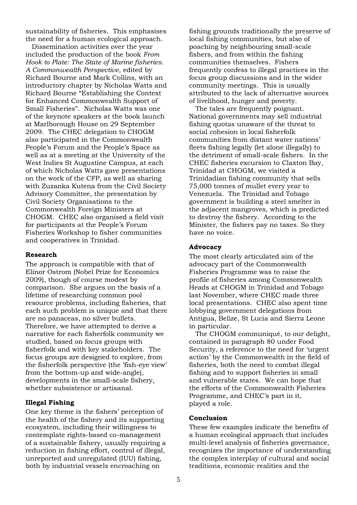sustainability of fisheries. This emphasises the need for a human ecological approach.

 Dissemination activities over the year included the production of the book *From Hook to Plate: The State of Marine fisheries. A Commonwealth Perspective,* edited by Richard Bourne and Mark Collins, with an introductory chapter by Nicholas Watts and Richard Bourne "Establishing the Context for Enhanced Commonwealth Support of Small Fisheries". Nicholas Watts was one of the keynote speakers at the book launch at Marlborough House on 29 September 2009. The CHEC delegation to CHOGM also participated in the Commonwealth People's Forum and the People's Space as well as at a meeting at the University of the West Indies St Augustine Campus, at each of which Nicholas Watts gave presentations on the work of the CFP, as well as sharing with Zuzanka Kutena from the Civil Society Advisory Committee, the presentation by Civil Society Organisations to the Commonwealth Foreign Ministers at CHOGM. CHEC also organised a field visit for participants at the People"s Forum Fisheries Workshop to fisher communities and cooperatives in Trinidad.

#### **Research**

The approach is compatible with that of Elinor Ostrom (Nobel Prize for Economics 2009), though of course modest by comparison. She argues on the basis of a lifetime of researching common pool resource problems, including fisheries, that each such problem is unique and that there are no panaceas, no silver bullets. Therefore, we have attempted to derive a narrative for each fisherfolk community we studied, based on focus groups with fisherfolk and with key stakeholders. The focus groups are designed to explore, from the fisherfolk perspective (the "fish-eye view" from the bottom-up and wide-angle), developments in the small-scale fishery, whether subsistence or artisanal.

#### **Illegal Fishing**

One key theme is the fishers" perception of the health of the fishery and its supporting ecosystem, including their willingness to contemplate rights-based co-management of a sustainable fishery, usually requiring a reduction in fishing effort, control of illegal, unreported and unregulated (IUU) fishing, both by industrial vessels encroaching on

fishing grounds traditionally the preserve of local fishing communities, but also of poaching by neighbouring small-scale fishers, and from within the fishing communities themselves. Fishers frequently confess to illegal practices in the focus group discussions and in the wider community meetings. This is usually attributed to the lack of alternative sources of livelihood, hunger and poverty.

 The tales are frequently poignant. National governments may sell industrial fishing quotas unaware of the threat to social cohesion in local fisherfolk communities from distant water nations" fleets fishing legally (let alone illegally) to the detriment of small-scale fishers. In the CHEC fisheries excursion to Claxton Bay, Trinidad at CHOGM, we visited a Trinidadian fishing community that sells 75,000 tonnes of mullet every year to Venezuela. The Trinidad and Tobago government is building a steel smelter in the adjacent mangroves, which is predicted to destroy the fishery. According to the Minister, the fishers pay no taxes. So they have no voice.

#### **Advocacy**

The most clearly articulated aim of the advocacy part of the Commonwealth Fisheries Programme was to raise the profile of fisheries among Commonwealth Heads at CHOGM in Trinidad and Tobago last November, where CHEC made three local presentations. CHEC also spent time lobbying government delegations from Antigua, Belize, St Lucia and Sierra Leone in particular.

 The CHOGM communiqué, to our delight, contained in paragraph 80 under Food Security, a reference to the need for 'urgent action" by the Commonwealth in the field of fisheries, both the need to combat illegal fishing and to support fisheries in small and vulnerable states. We can hope that the efforts of the Commonwealth Fisheries Programme, and CHEC"s part in it, played a role.

#### **Conclusion**

These few examples indicate the benefits of a human ecological approach that includes multi-level analysis of fisheries governance, recognizes the importance of understanding the complex interplay of cultural and social traditions, economic realities and the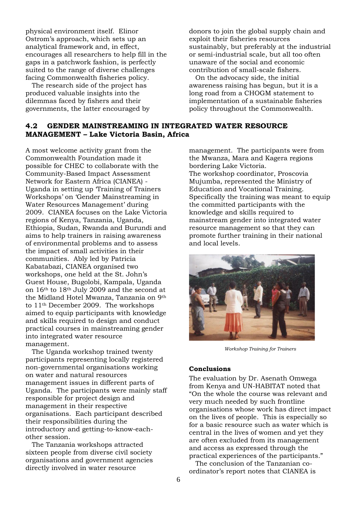physical environment itself. Elinor Ostrom"s approach, which sets up an analytical framework and, in effect, encourages all researchers to help fill in the gaps in a patchwork fashion, is perfectly suited to the range of diverse challenges facing Commonwealth fisheries policy.

 The research side of the project has produced valuable insights into the dilemmas faced by fishers and their governments, the latter encouraged by donors to join the global supply chain and exploit their fisheries resources sustainably, but preferably at the industrial or semi-industrial scale, but all too often unaware of the social and economic contribution of small-scale fishers.

 On the advocacy side, the initial awareness raising has begun, but it is a long road from a CHOGM statement to implementation of a sustainable fisheries policy throughout the Commonwealth.

## **4.2 GENDER MAINSTREAMING IN INTEGRATED WATER RESOURCE MANAGEMENT – Lake Victoria Basin, Africa**

A most welcome activity grant from the Commonwealth Foundation made it possible for CHEC to collaborate with the Community-Based Impact Assessment Network for Eastern Africa (CIANEA) - Uganda in setting up "Training of Trainers Workshops" on "Gender Mainstreaming in Water Resources Management" during 2009. CIANEA focuses on the Lake Victoria regions of Kenya, Tanzania, Uganda, Ethiopia, Sudan, Rwanda and Burundi and aims to help trainers in raising awareness of environmental problems and to assess the impact of small activities in their communities. Ably led by Patricia Kabatabazi, CIANEA organised two workshops, one held at the St. John"s Guest House, Bugolobi, Kampala, Uganda on 16th to 18th July 2009 and the second at the Midland Hotel Mwanza, Tanzania on 9th to 11th December 2009. The workshops aimed to equip participants with knowledge and skills required to design and conduct practical courses in mainstreaming gender into integrated water resource management.

 The Uganda workshop trained twenty participants representing locally registered non-governmental organisations working on water and natural resources management issues in different parts of Uganda. The participants were mainly staff responsible for project design and management in their respective organisations. Each participant described their responsibilities during the introductory and getting-to-know-eachother session.

 The Tanzania workshops attracted sixteen people from diverse civil society organisations and government agencies directly involved in water resource

management. The participants were from the Mwanza, Mara and Kagera regions bordering Lake Victoria. The workshop coordinator, Proscovia Mujumba, represented the Ministry of Education and Vocational Training. Specifically the training was meant to equip the committed participants with the knowledge and skills required to mainstream gender into integrated water resource management so that they can promote further training in their national and local levels.



*Workshop Training for Trainers*

## **Conclusions**

The evaluation by Dr. Asenath Omwega from Kenya and UN-HABITAT noted that "On the whole the course was relevant and very much needed by such frontline organisations whose work has direct impact on the lives of people. This is especially so for a basic resource such as water which is central in the lives of women and yet they are often excluded from its management and access as expressed through the practical experiences of the participants." The conclusion of the Tanzanian co-

ordinator"s report notes that CIANEA is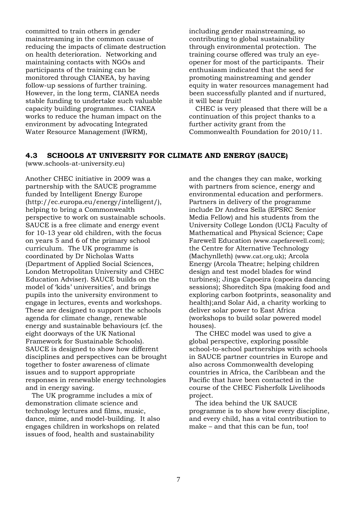committed to train others in gender mainstreaming in the common cause of reducing the impacts of climate destruction on health deterioration. Networking and maintaining contacts with NGOs and participants of the training can be monitored through CIANEA, by having follow-up sessions of further training. However, in the long term, CIANEA needs stable funding to undertake such valuable capacity building programmes. CIANEA works to reduce the human impact on the environment by advocating Integrated Water Resource Management (IWRM),

including gender mainstreaming, so contributing to global sustainability through environmental protection. The training course offered was truly an eyeopener for most of the participants. Their enthusiasm indicated that the seed for promoting mainstreaming and gender equity in water resources management had been successfully planted and if nurtured, it will bear fruit!

 CHEC is very pleased that there will be a continuation of this project thanks to a further activity grant from the Commonwealth Foundation for 2010/11.

## **4.3 SCHOOLS AT UNIVERSITY FOR CLIMATE AND ENERGY (SAUCE)**

[\(www.schools-at-university.eu\)](http://www.schools-at-university.eu/)

Another CHEC initiative in 2009 was a partnership with the SAUCE programme funded by Intelligent Energy Europe (http://ec.europa.eu/energy/intelligent/), helping to bring a Commonwealth perspective to work on sustainable schools. SAUCE is a free climate and energy event for 10-13 year old children, with the focus on years 5 and 6 of the primary school curriculum. The UK programme is coordinated by Dr Nicholas Watts (Department of Applied Social Sciences, London Metropolitan University and CHEC Education Adviser). SAUCE builds on the model of 'kids' universities', and brings pupils into the university environment to engage in lectures, events and workshops. These are designed to support the schools agenda for climate change, renewable energy and sustainable behaviours (cf. the eight doorways of the UK National Framework for Sustainable Schools). SAUCE is designed to show how different disciplines and perspectives can be brought together to foster awareness of climate issues and to support appropriate responses in renewable energy technologies and in energy saving.

 The UK programme includes a mix of demonstration climate science and technology lectures and films, music, dance, mime, and model-building. It also engages children in workshops on related issues of food, health and sustainability

and the changes they can make, working with partners from science, energy and environmental education and performers. Partners in delivery of the programme include Dr Andrea Sella (EPSRC Senior Media Fellow) and his students from the University College London (UCL) Faculty of Mathematical and Physical Science; Cape Farewell Education [\(www.capefarewell.com\)](http://www.capefarewell.com/); the Centre for Alternative Technology (Machynlleth) [\(www.cat.org.uk\)](http://www.cat.org.uk/); Arcola Energy (Arcola Theatre; helping children design and test model blades for wind turbines); Jinga Capoeira (capoeira dancing sessions); Shoreditch Spa (making food and exploring carbon footprints, seasonality and health);and Solar Aid, a charity working to deliver solar power to East Africa (workshops to build solar powered model houses).

 The CHEC model was used to give a global perspective, exploring possible school-to-school partnerships with schools in SAUCE partner countries in Europe and also across Commonwealth developing countries in Africa, the Caribbean and the Pacific that have been contacted in the course of the CHEC Fisherfolk Livelihoods project.

 The idea behind the UK SAUCE programme is to show how every discipline, and every child, has a vital contribution to make – and that this can be fun, too!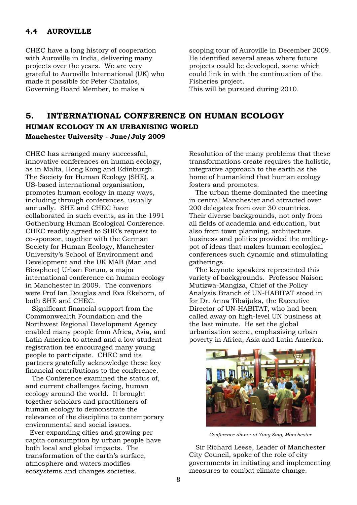## **4.4 AUROVILLE**

CHEC have a long history of cooperation with Auroville in India, delivering many projects over the years. We are very grateful to Auroville International (UK) who made it possible for Peter Chatalos, Governing Board Member, to make a

scoping tour of Auroville in December 2009. He identified several areas where future projects could be developed, some which could link in with the continuation of the Fisheries project.

This will be pursued during 2010.

## **5. INTERNATIONAL CONFERENCE ON HUMAN ECOLOGY HUMAN ECOLOGY IN AN URBANISING WORLD Manchester University - June/July 2009**

CHEC has arranged many successful, innovative conferences on human ecology, as in Malta, Hong Kong and Edinburgh. The Society for Human Ecology (SHE), a US-based international organisation, promotes human ecology in many ways, including through conferences, usually annually. SHE and CHEC have collaborated in such events, as in the 1991 Gothenburg Human Ecological Conference. CHEC readily agreed to SHE"s request to co-sponsor, together with the German Society for Human Ecology, Manchester University"s School of Environment and Development and the UK MAB (Man and Biosphere) Urban Forum, a major international conference on human ecology in Manchester in 2009. The convenors were Prof Ian Douglas and Eva Ekehorn, of both SHE and CHEC.

 Significant financial support from the Commonwealth Foundation and the Northwest Regional Development Agency enabled many people from Africa, Asia, and Latin America to attend and a low student registration fee encouraged many young people to participate. CHEC and its partners gratefully acknowledge these key financial contributions to the conference.

 The Conference examined the status of, and current challenges facing, human ecology around the world. It brought together scholars and practitioners of human ecology to demonstrate the relevance of the discipline to contemporary environmental and social issues.

 Ever expanding cities and growing per capita consumption by urban people have both local and global impacts. The transformation of the earth's surface, atmosphere and waters modifies ecosystems and changes societies.

Resolution of the many problems that these transformations create requires the holistic, integrative approach to the earth as the home of humankind that human ecology fosters and promotes.

 The urban theme dominated the meeting in central Manchester and attracted over 200 delegates from over 30 countries. Their diverse backgrounds, not only from all fields of academia and education, but also from town planning, architecture, business and politics provided the meltingpot of ideas that makes human ecological conferences such dynamic and stimulating gatherings.

 The keynote speakers represented this variety of backgrounds. Professor Naison Mutizwa-Mangiza, Chief of the Policy Analysis Branch of UN-HABITAT stood in for Dr. Anna Tibaijuka, the Executive Director of UN-HABITAT, who had been called away on high-level UN business at the last minute. He set the global urbanisation scene, emphasising urban poverty in Africa, Asia and Latin America.



*Conference dinner at Yang Sing, Manchester*

 Sir Richard Leese, Leader of Manchester City Council, spoke of the role of city governments in initiating and implementing measures to combat climate change.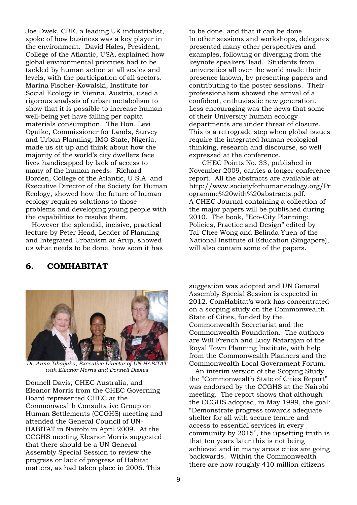Joe Dwek, CBE, a leading UK industrialist, spoke of how business was a key player in the environment. David Hales, President, College of the Atlantic, USA, explained how global environmental priorities had to be tackled by human action at all scales and levels, with the participation of all sectors. Marina Fischer-Kowalski, Institute for Social Ecology in Vienna, Austria, used a rigorous analysis of urban metabolism to show that it is possible to increase human well-being yet have falling per capita materials consumption. The Hon. Levi Oguike, Commissioner for Lands, Survey and Urban Planning, IMO State, Nigeria, made us sit up and think about how the majority of the world"s city dwellers face lives handicapped by lack of access to many of the human needs. Richard Borden, College of the Atlantic, U.S.A. and Executive Director of the Society for Human Ecology, showed how the future of human ecology requires solutions to those problems and developing young people with the capabilities to resolve them.

 However the splendid, incisive, practical lecture by Peter Head, Leader of Planning and Integrated Urbanism at Arup, showed us what needs to be done, how soon it has to be done, and that it can be done. In other sessions and workshops, delegates presented many other perspectives and examples, following or diverging from the keynote speakers" lead. Students from universities all over the world made their presence known, by presenting papers and contributing to the poster sessions. Their professionalism showed the arrival of a confident, enthusiastic new generation. Less encouraging was the news that some of their University human ecology departments are under threat of closure. This is a retrograde step when global issues require the integrated human ecological thinking, research and discourse, so well expressed at the conference.

CHEC Points No. 33, published in November 2009, carries a longer conference report. All the abstracts are available at: http://www.societyforhumanecology.org/Pr ogramme%20with%20abstracts.pdf. A CHEC Journal containing a collection of the major papers will be published during 2010. The book, "Eco-City Planning: Policies, Practice and Design" edited by Tai-Chee Wong and Belinda Yuen of the National Institute of Education (Singapore), will also contain some of the papers.

## **6. COMHABITAT**



*Dr. Anna Tibaijuka, Executive Director of UN-HABITAT with Eleanor Morris and Donnell Davies*

Donnell Davis, CHEC Australia, and Eleanor Morris from the CHEC Governing Board represented CHEC at the Commonwealth Consultative Group on Human Settlements (CCGHS) meeting and attended the General Council of UN-HABITAT in Nairobi in April 2009. At the CCGHS meeting Eleanor Morris suggested that there should be a UN General Assembly Special Session to review the progress or lack of progress of Habitat matters, as had taken place in 2006. This

suggestion was adopted and UN General Assembly Special Session is expected in 2012. ComHabitat"s work has concentrated on a scoping study on the Commonwealth State of Cities, funded by the Commonwealth Secretariat and the Commonwealth Foundation. The authors are Will French and Lucy Natarajan of the Royal Town Planning Institute, with help from the Commonwealth Planners and the Commonwealth Local Government Forum.

 An interim version of the Scoping Study the "Commonwealth State of Cities Report" was endorsed by the CCGHS at the Nairobi meeting. The report shows that although the CCGHS adopted, in May 1999, the goal: "Demonstrate progress towards adequate shelter for all with secure tenure and access to essential services in every community by 2015", the upsetting truth is that ten years later this is not being achieved and in many areas cities are going backwards. Within the Commonwealth there are now roughly 410 million citizens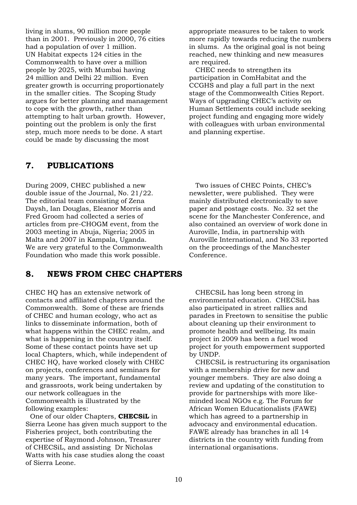living in slums, 90 million more people than in 2001. Previously in 2000, 76 cities had a population of over 1 million. UN Habitat expects 124 cities in the Commonwealth to have over a million people by 2025, with Mumbai having 24 million and Delhi 22 million. Even greater growth is occurring proportionately in the smaller cities. The Scoping Study argues for better planning and management to cope with the growth, rather than attempting to halt urban growth. However, pointing out the problem is only the first step, much more needs to be done. A start could be made by discussing the most

## **7. PUBLICATIONS**

During 2009, CHEC published a new double issue of the Journal, No. 21/22. The editorial team consisting of Zena Daysh, Ian Douglas, Eleanor Morris and Fred Groom had collected a series of articles from pre-CHOGM event, from the 2003 meeting in Abuja, Nigeria; 2005 in Malta and 2007 in Kampala, Uganda. We are very grateful to the Commonwealth Foundation who made this work possible.

## **8. NEWS FROM CHEC CHAPTERS**

CHEC HQ has an extensive network of contacts and affiliated chapters around the Commonwealth. Some of these are friends of CHEC and human ecology, who act as links to disseminate information, both of what happens within the CHEC realm, and what is happening in the country itself. Some of these contact points have set up local Chapters, which, while independent of CHEC HQ, have worked closely with CHEC on projects, conferences and seminars for many years. The important, fundamental and grassroots, work being undertaken by our network colleagues in the Commonwealth is illustrated by the following examples:

 One of our older Chapters, **CHECSiL** in Sierra Leone has given much support to the Fisheries project, both contributing the expertise of Raymond Johnson, Treasurer of CHECSiL, and assisting Dr Nicholas Watts with his case studies along the coast of Sierra Leone.

appropriate measures to be taken to work more rapidly towards reducing the numbers in slums. As the original goal is not being reached, new thinking and new measures are required.

 CHEC needs to strengthen its participation in ComHabitat and the CCGHS and play a full part in the next stage of the Commonwealth Cities Report. Ways of upgrading CHEC"s activity on Human Settlements could include seeking project funding and engaging more widely with colleagues with urban environmental and planning expertise.

 Two issues of CHEC Points, CHEC"s newsletter, were published. They were mainly distributed electronically to save paper and postage costs. No. 32 set the scene for the Manchester Conference, and also contained an overview of work done in Auroville, India, in partnership with Auroville International, and No 33 reported on the proceedings of the Manchester Conference.

 CHECSiL has long been strong in environmental education. CHECSiL has also participated in street rallies and parades in Freetown to sensitise the public about cleaning up their environment to promote health and wellbeing. Its main project in 2009 has been a fuel wood project for youth empowerment supported by UNDP.

 CHECSiL is restructuring its organisation with a membership drive for new and younger members. They are also doing a review and updating of the constitution to provide for partnerships with more likeminded local NGOs e.g. The Forum for African Women Educationalists (FAWE) which has agreed to a partnership in advocacy and environmental education. FAWE already has branches in all 14 districts in the country with funding from international organisations.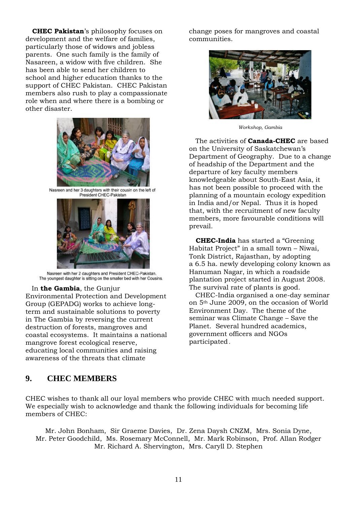**CHEC Pakistan**'s philosophy focuses on development and the welfare of families, particularly those of widows and jobless parents. One such family is the family of Nasareen, a widow with five children. She has been able to send her children to school and higher education thanks to the support of CHEC Pakistan. CHEC Pakistan members also rush to play a compassionate role when and where there is a bombing or other disaster.



Nasreen and her 3 daughters with their cousin on the left of President CHEC-Pakistan



Nasreen with her 2 daughters and President CHEC-Pakistan. The youngest daughter is sitting on the smaller bed with her Cousins.

## In **the Gambia**, the Gunjur

Environmental Protection and Development Group (GEPADG) works to achieve longterm and sustainable solutions to poverty in The Gambia by reversing the current destruction of forests, mangroves and coastal ecosystems. It maintains a national mangrove forest ecological reserve, educating local communities and raising awareness of the threats that climate

change poses for mangroves and coastal communities.



*Workshop, Gambia* 

 The activities of **Canada-CHEC** are based on the University of Saskatchewan"s Department of Geography. Due to a change of headship of the Department and the departure of key faculty members knowledgeable about South-East Asia, it has not been possible to proceed with the planning of a mountain ecology expedition in India and/or Nepal. Thus it is hoped that, with the recruitment of new faculty members, more favourable conditions will prevail.

 **CHEC-India** has started a "Greening Habitat Project" in a small town – Niwai, Tonk District, Rajasthan, by adopting a 6.5 ha. newly developing colony known as Hanuman Nagar, in which a roadside plantation project started in August 2008. The survival rate of plants is good.

 CHEC-India organised a one-day seminar on 5th June 2009, on the occasion of World Environment Day. The theme of the seminar was Climate Change – Save the Planet. Several hundred academics, government officers and NGOs participated.

## **9. CHEC MEMBERS**

CHEC wishes to thank all our loyal members who provide CHEC with much needed support. We especially wish to acknowledge and thank the following individuals for becoming life members of CHEC:

Mr. John Bonham, Sir Graeme Davies, Dr. Zena Daysh CNZM, Mrs. Sonia Dyne, Mr. Peter Goodchild, Ms. Rosemary McConnell, Mr. Mark Robinson, Prof. Allan Rodger Mr. Richard A. Shervington, Mrs. Caryll D. Stephen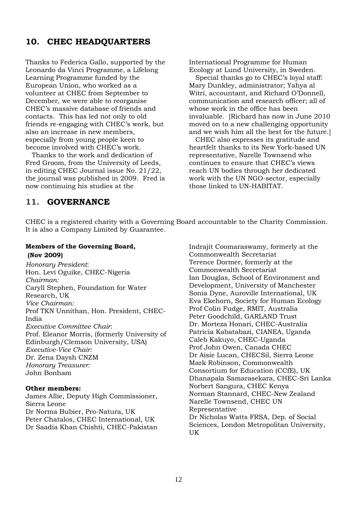## **10. CHEC HEADQUARTERS**

Thanks to Federica Gallo, supported by the Leonardo da Vinci Programme, a Lifelong Learning Programme funded by the European Union, who worked as a volunteer at CHEC from September to December, we were able to reorganise CHEC"s massive database of friends and contacts. This has led not only to old friends re-engaging with CHEC"s work, but also an increase in new members, especially from young people keen to become involved with CHEC"s work.

 Thanks to the work and dedication of Fred Groom, from the University of Leeds, in editing CHEC Journal issue No. 21/22, the journal was published in 2009. Fred is now continuing his studies at the

International Programme for Human Ecology at Lund University, in Sweden.

Special thanks go to CHEC's loyal staff: Mary Dunkley, administrator; Yahya al Witri, accountant, and Richard O"Donnell, communication and research officer; all of whose work in the office has been invaluable. [Richard has now in June 2010 moved on to a new challenging opportunity and we wish him all the best for the future.]

 CHEC also expresses its gratitude and heartfelt thanks to its New York-based UN representative, Narelle Townsend who continues to ensure that CHEC"s views reach UN bodies through her dedicated work with the UN NGO-sector, especially those linked to UN-HABITAT.

## **11. GOVERNANCE**

.

CHEC is a registered charity with a Governing Board accountable to the Charity Commission. It is also a Company Limited by Guarantee.

## **Members of the Governing Board, (Nov 2009)**

*Honorary President*: Hon. Levi Oguike, CHEC-Nigeria *Chairman:* Caryll Stephen, Foundation for Water Research, UK *Vice Chairman:* Prof TKN Unnithan, Hon. President, CHEC-India *Executive Committee Chair*: Prof. Eleanor Morris, (formerly University of Edinburgh/Clemson University, USA) *Executive-Vice Chair:* Dr. Zena Daysh CNZM *Honorary Treasurer:* John Bonham

## **Other members:**

James Allie, Deputy High Commissioner, Sierra Leone Dr Norma Bubier, Pro-Natura, UK Peter Chatalos, CHEC International, UK Dr Saadia Khan Chishti, CHEC-Pakistan

Indrajit Coomaraswamy, formerly at the Commonwealth Secretariat Terence Dormer, formerly at the Commonwealth Secretariat Ian Douglas, School of Environment and Development, University of Manchester Sonia Dyne, Auroville International, UK Eva Ekehorn, Society for Human Ecology Prof Colin Fudge, RMIT, Australia Peter Goodchild, GARLAND Trust Dr. Morteza Honari, CHEC-Australia Patricia Kabatabazi, CIANEA, Uganda Caleb Kakuyo, CHEC-Uganda Prof John Owen, Canada CHEC Dr Aisie Lucan, CHECSil, Sierra Leone Mark Robinson, Commonwealth Consortium for Education (CCfE), UK Dhanapala Samarasekara, CHEC-Sri Lanka Norbert Sangura, CHEC Kenya Norman Stannard, CHEC-New Zealand Narelle Townsend, CHEC UN Representative Dr Nicholas Watts FRSA, Dep. of Social Sciences, London Metropolitan University, UK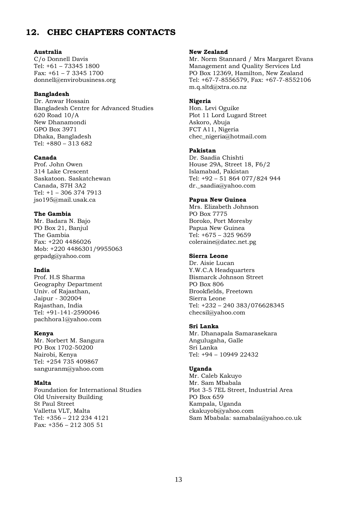## **12. CHEC CHAPTERS CONTACTS**

#### **Australia**

C/o Donnell Davis Tel: +61 – 73345 1800 Fax: +61 – 7 3345 1700 [donnell@envirobusiness.org](mailto:donnell@envirobusiness.org)

#### **Bangladesh**

Dr. Anwar Hossain Bangladesh Centre for Advanced Studies 620 Road 10/A New Dhanamondi GPO Box 3971 Dhaka, Bangladesh Tel: +880 – 313 682

#### **Canada**

Prof. John Owen 314 Lake Crescent Saskatoon. Saskatchewan Canada, S7H 3A2 Tel: +1 – 306 374 7913 [jso195@mail.usak.ca](mailto:jso195@mail.usak.ca)

## **The Gambia**

Mr. Badara N. Bajo PO Box 21, Banjul The Gambia Fax: +220 4486026 Mob: +220 4486301/9955063 [gepadg@yahoo.com](mailto:gepadg@yahoo.com)

## **India**

Prof. H.S Sharma Geography Department Univ. of Rajasthan, Jaipur - 302004 Rajasthan, India Tel: +91-141-2590046 [pachhora1@yahoo.com](mailto:pachhora1@yahoo.com)

#### **Kenya**

Mr. Norbert M. Sangura PO Box 1702-50200 Nairobi, Kenya Tel: +254 735 409867 [sanguranm@yahoo.com](mailto:sanguranm@yahoo.com)

## **Malta**

Foundation for International Studies Old University Building St Paul Street Valletta VLT, Malta Tel: +356 – 212 234 4121 Fax: +356 – 212 305 51

#### **New Zealand**

Mr. Norm Stannard / Mrs Margaret Evans Management and Quality Services Ltd PO Box 12369, Hamilton, New Zealand Tel: +67-7-8556579, Fax: +67-7-8552106 m.q.sltd@xtra.co.nz

#### **Nigeria**

Hon. Levi Oguike Plot 11 Lord Lugard Street Askoro, Abuja FCT A11, Nigeria [chec\\_nigeria@hotmail.com](mailto:chec_nigeria@hotmail.com)

#### **Pakistan**

Dr. Saadia Chishti House 29A, Street 18, F6/2 Islamabad, Pakistan Tel: +92 – 51 864 077/824 944 [dr.\\_saadia@yahoo.com](mailto:dr._saadia@yahoo.com)

#### **Papua New Guinea**

Mrs. Elizabeth Johnson PO Box 7775 Boroko, Port Moresby Papua New Guinea Tel: +675 – 325 9659 [coleraine@datec.net.pg](mailto:coleraine@datec.net.pg)

## **Sierra Leone**

Dr. Aisie Lucan Y.W.C.A Headquarters Bismarck Johnson Street PO Box 806 Brookfields, Freetown Sierra Leone Tel: +232 – 240 383/076628345 [checsil@yahoo.com](mailto:checsil@yahoo.com)

## **Sri Lanka**

Mr. Dhanapala Samarasekara Angulugaha, Galle Sri Lanka Tel: +94 – 10949 22432

## **Uganda**

Mr. Caleb Kakuyo Mr. Sam Mbabala Plot 3-5 7EL Street, Industrial Area PO Box 659 Kampala, Uganda ckakuyob@yahoo.com Sam Mbabala: [samabala@yahoo.co.uk](mailto:samabala@yahoo.co.uk)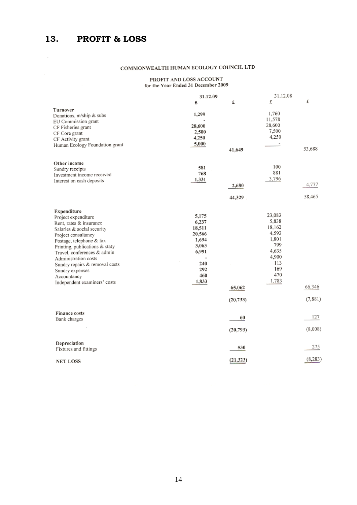$\mathcal{L}_{\rm{max}}$ 

## COMMONWEALTH HUMAN ECOLOGY COUNCIL LTD

PROFIT AND LOSS ACCOUNT<br>for the Year Ended 31 December 2009

|                                | 31.12.09 |           |        | 31.12.08 |  |
|--------------------------------|----------|-----------|--------|----------|--|
|                                | £        | £         | £      | £        |  |
| Turnover                       |          |           |        |          |  |
| Donations, m/ship & subs       | 1,299    |           | 1,760  |          |  |
| EU Commission grant            |          |           | 11,578 |          |  |
| CF Fisheries grant             | 28,600   |           | 28,600 |          |  |
| CF Core grant                  | 2,500    |           | 7,500  |          |  |
| CF Activity grant              | 4,250    |           | 4,250  |          |  |
| Human Ecology Foundation grant | 5,000    |           |        |          |  |
|                                |          | 41,649    |        | 53,688   |  |
| Other income                   |          |           |        |          |  |
| Sundry receipts                | 581      |           | 100    |          |  |
| Investment income received     | 768      |           | 881    |          |  |
| Interest on cash deposits      | 1,331    |           | 3,796  |          |  |
|                                |          | 2,680     |        | 4,777    |  |
|                                |          | 44,329    |        | 58,465   |  |
|                                |          |           |        |          |  |
| Expenditure                    |          |           | 23,083 |          |  |
| Project expenditure            | 5,175    |           |        |          |  |
| Rent, rates & insurance        | 6,237    |           | 5,838  |          |  |
| Salaries & social security     | 18,511   |           | 18,162 |          |  |
| Project consultancy            | 20,566   |           | 4,593  |          |  |
| Postage, telephone & fax       | 1,694    |           | 1,801  |          |  |
| Printing, publications & staty | 3,063    |           | 799    |          |  |
| Travel, conferences & admin    | 6,991    |           | 4,635  |          |  |
| Administration costs           |          |           | 4,900  |          |  |
| Sundry repairs & removal costs | 240      |           | 113    |          |  |
| Sundry expenses                | 292      |           | 169    |          |  |
| Accountancy                    | 460      |           | 470    |          |  |
| Independent examiners' costs   | 1,833    |           | 1,783  |          |  |
|                                |          | 65,062    |        | 66,346   |  |
|                                |          | (20, 733) |        | (7, 881) |  |
|                                |          |           |        |          |  |
| Finance costs                  |          | 60        |        | 127      |  |
| Bank charges                   |          |           |        |          |  |
|                                |          | (20, 793) |        | (8,008)  |  |
| Depreciation                   |          |           |        |          |  |
| Fixtures and fittings          |          | 530       |        | 275      |  |
| <b>NET LOSS</b>                |          | (21, 323) |        | (8, 283) |  |